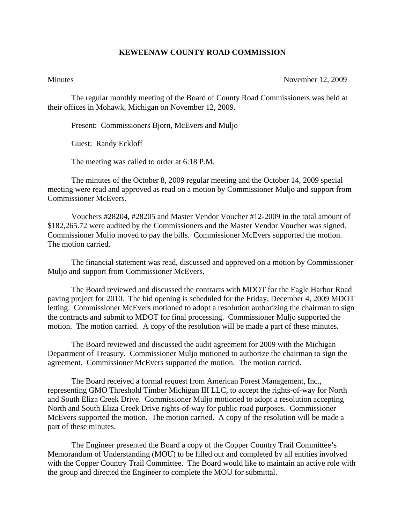## **KEWEENAW COUNTY ROAD COMMISSION**

Minutes November 12, 2009

The regular monthly meeting of the Board of County Road Commissioners was held at their offices in Mohawk, Michigan on November 12, 2009.

Present: Commissioners Bjorn, McEvers and Muljo

Guest: Randy Eckloff

The meeting was called to order at 6:18 P.M.

 The minutes of the October 8, 2009 regular meeting and the October 14, 2009 special meeting were read and approved as read on a motion by Commissioner Muljo and support from Commissioner McEvers.

 Vouchers #28204, #28205 and Master Vendor Voucher #12-2009 in the total amount of \$182,265.72 were audited by the Commissioners and the Master Vendor Voucher was signed. Commissioner Muljo moved to pay the bills. Commissioner McEvers supported the motion. The motion carried.

 The financial statement was read, discussed and approved on a motion by Commissioner Muljo and support from Commissioner McEvers.

 The Board reviewed and discussed the contracts with MDOT for the Eagle Harbor Road paving project for 2010. The bid opening is scheduled for the Friday, December 4, 2009 MDOT letting. Commissioner McEvers motioned to adopt a resolution authorizing the chairman to sign the contracts and submit to MDOT for final processing. Commissioner Muljo supported the motion. The motion carried. A copy of the resolution will be made a part of these minutes.

 The Board reviewed and discussed the audit agreement for 2009 with the Michigan Department of Treasury. Commissioner Muljo motioned to authorize the chairman to sign the agreement. Commissioner McEvers supported the motion. The motion carried.

 The Board received a formal request from American Forest Management, Inc., representing GMO Threshold Timber Michigan III LLC, to accept the rights-of-way for North and South Eliza Creek Drive. Commissioner Muljo motioned to adopt a resolution accepting North and South Eliza Creek Drive rights-of-way for public road purposes. Commissioner McEvers supported the motion. The motion carried. A copy of the resolution will be made a part of these minutes.

 The Engineer presented the Board a copy of the Copper Country Trail Committee's Memorandum of Understanding (MOU) to be filled out and completed by all entities involved with the Copper Country Trail Committee. The Board would like to maintain an active role with the group and directed the Engineer to complete the MOU for submittal.